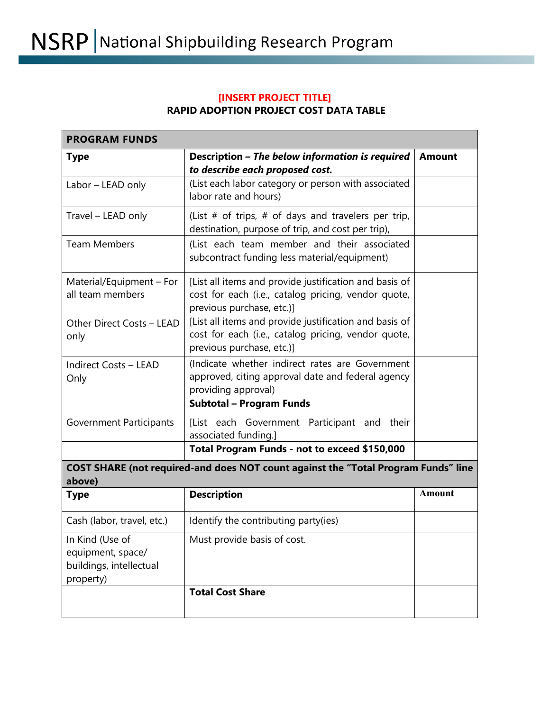## **[INSERT PROJECT TITLE] RAPID ADOPTION PROJECT COST DATA TABLE**

| <b>PROGRAM FUNDS</b>                                                                         |                                                                                                                                            |               |
|----------------------------------------------------------------------------------------------|--------------------------------------------------------------------------------------------------------------------------------------------|---------------|
| <b>Type</b>                                                                                  | Description - The below information is required<br>to describe each proposed cost.                                                         | <b>Amount</b> |
| Labor - LEAD only                                                                            | (List each labor category or person with associated<br>labor rate and hours)                                                               |               |
| Travel - LEAD only                                                                           | (List $#$ of trips, $#$ of days and travelers per trip,<br>destination, purpose of trip, and cost per trip),                               |               |
| <b>Team Members</b>                                                                          | (List each team member and their associated<br>subcontract funding less material/equipment)                                                |               |
| Material/Equipment - For<br>all team members                                                 | [List all items and provide justification and basis of<br>cost for each (i.e., catalog pricing, vendor quote,<br>previous purchase, etc.)] |               |
| Other Direct Costs - LEAD<br>only                                                            | [List all items and provide justification and basis of<br>cost for each (i.e., catalog pricing, vendor quote,<br>previous purchase, etc.)] |               |
| <b>Indirect Costs - LEAD</b><br>Only                                                         | (Indicate whether indirect rates are Government<br>approved, citing approval date and federal agency<br>providing approval)                |               |
|                                                                                              | <b>Subtotal - Program Funds</b>                                                                                                            |               |
| <b>Government Participants</b>                                                               | [List each Government Participant and<br>their<br>associated funding.]                                                                     |               |
|                                                                                              | Total Program Funds - not to exceed \$150,000                                                                                              |               |
| COST SHARE (not required-and does NOT count against the "Total Program Funds" line<br>above) |                                                                                                                                            |               |
| <b>Type</b>                                                                                  | <b>Description</b>                                                                                                                         | <b>Amount</b> |
| Cash (labor, travel, etc.)                                                                   | Identify the contributing party(ies)                                                                                                       |               |
| In Kind (Use of<br>equipment, space/<br>buildings, intellectual<br>property)                 | Must provide basis of cost.                                                                                                                |               |
|                                                                                              | <b>Total Cost Share</b>                                                                                                                    |               |